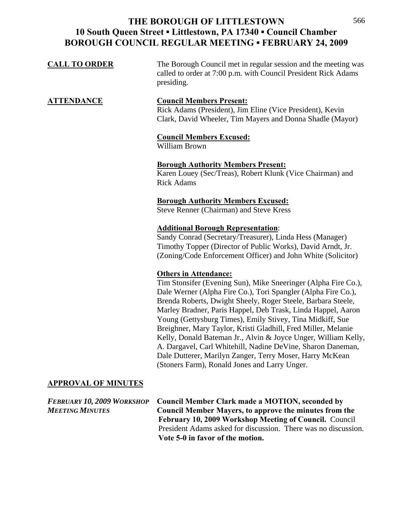| <b>CALL TO ORDER</b> | The Borough Council met in regular session and the meeting was<br>called to order at 7:00 p.m. with Council President Rick Adams<br>presiding.                                                                                       |
|----------------------|--------------------------------------------------------------------------------------------------------------------------------------------------------------------------------------------------------------------------------------|
| <b>ATTENDANCE</b>    | <b>Council Members Present:</b><br>Rick Adams (President), Jim Eline (Vice President), Kevin<br>Clark, David Wheeler, Tim Mayers and Donna Shadle (Mayor)                                                                            |
|                      | <b>Council Members Excused:</b><br><b>William Brown</b>                                                                                                                                                                              |
|                      | <b>Borough Authority Members Present:</b><br>Karen Louey (Sec/Treas), Robert Klunk (Vice Chairman) and<br><b>Rick Adams</b>                                                                                                          |
|                      | <b>Borough Authority Members Excused:</b><br>Steve Renner (Chairman) and Steve Kress                                                                                                                                                 |
|                      | <b>Additional Borough Representation:</b><br>Sandy Conrad (Secretary/Treasurer), Linda Hess (Manager)<br>Timothy Topper (Director of Public Works), David Arndt, Jr.<br>(Zoning/Code Enforcement Officer) and John White (Solicitor) |
|                      | <b>Others in Attendance:</b>                                                                                                                                                                                                         |

Tim Stonsifer (Evening Sun), Mike Sneeringer (Alpha Fire Co.), Dale Werner (Alpha Fire Co.), Tori Spangler (Alpha Fire Co.), Brenda Roberts, Dwight Sheely, Roger Steele, Barbara Steele, Marley Bradner, Paris Happel, Deb Trask, Linda Happel, Aaron Young (Gettysburg Times), Emily Stivey, Tina Midkiff, Sue Breighner, Mary Taylor, Kristi Gladhill, Fred Miller, Melanie Kelly, Donald Bateman Jr., Alvin & Joyce Unger, William Kelly, A. Dargavel, Carl Whitehill, Nadine DeVine, Sharon Daneman, Dale Dutterer, Marilyn Zanger, Terry Moser, Harry McKean (Stoners Farm), Ronald Jones and Larry Unger.

### **APPROVAL OF MINUTES**

*FEBRUARY 10, 2009 WORKSHOP* **Council Member Clark made a MOTION, seconded by**  *MEETING MINUTES* **Council Member Mayers, to approve the minutes from the February 10, 2009 Workshop Meeting of Council.** Council President Adams asked for discussion. There was no discussion. **Vote 5-0 in favor of the motion.**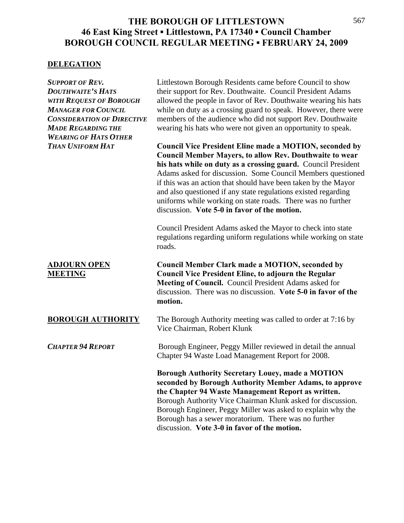### **DELEGATION**

| <b>SUPPORT OF REV.</b><br><b>DOUTHWAITE'S HATS</b><br>WITH REQUEST OF BOROUGH<br><b>MANAGER FOR COUNCIL</b><br><b>CONSIDERATION OF DIRECTIVE</b><br><b>MADE REGARDING THE</b><br><b>WEARING OF HATS OTHER</b> | Littlestown Borough Residents came before Council to show<br>their support for Rev. Douthwaite. Council President Adams<br>allowed the people in favor of Rev. Douthwaite wearing his hats<br>while on duty as a crossing guard to speak. However, there were<br>members of the audience who did not support Rev. Douthwaite<br>wearing his hats who were not given an opportunity to speak.                                                                                                                        |
|---------------------------------------------------------------------------------------------------------------------------------------------------------------------------------------------------------------|---------------------------------------------------------------------------------------------------------------------------------------------------------------------------------------------------------------------------------------------------------------------------------------------------------------------------------------------------------------------------------------------------------------------------------------------------------------------------------------------------------------------|
| <b>THAN UNIFORM HAT</b>                                                                                                                                                                                       | <b>Council Vice President Eline made a MOTION, seconded by</b><br><b>Council Member Mayers, to allow Rev. Douthwaite to wear</b><br>his hats while on duty as a crossing guard. Council President<br>Adams asked for discussion. Some Council Members questioned<br>if this was an action that should have been taken by the Mayor<br>and also questioned if any state regulations existed regarding<br>uniforms while working on state roads. There was no further<br>discussion. Vote 5-0 in favor of the motion. |
|                                                                                                                                                                                                               | Council President Adams asked the Mayor to check into state<br>regulations regarding uniform regulations while working on state<br>roads.                                                                                                                                                                                                                                                                                                                                                                           |
| <b>ADJOURN OPEN</b>                                                                                                                                                                                           | <b>Council Member Clark made a MOTION, seconded by</b>                                                                                                                                                                                                                                                                                                                                                                                                                                                              |
| <b>MEETING</b>                                                                                                                                                                                                | <b>Council Vice President Eline, to adjourn the Regular</b><br>Meeting of Council. Council President Adams asked for<br>discussion. There was no discussion. Vote 5-0 in favor of the<br>motion.                                                                                                                                                                                                                                                                                                                    |
| <b>BOROUGH AUTHORITY</b>                                                                                                                                                                                      | The Borough Authority meeting was called to order at 7:16 by<br>Vice Chairman, Robert Klunk                                                                                                                                                                                                                                                                                                                                                                                                                         |
| <b>CHAPTER 94 REPORT</b>                                                                                                                                                                                      | Borough Engineer, Peggy Miller reviewed in detail the annual<br>Chapter 94 Waste Load Management Report for 2008.                                                                                                                                                                                                                                                                                                                                                                                                   |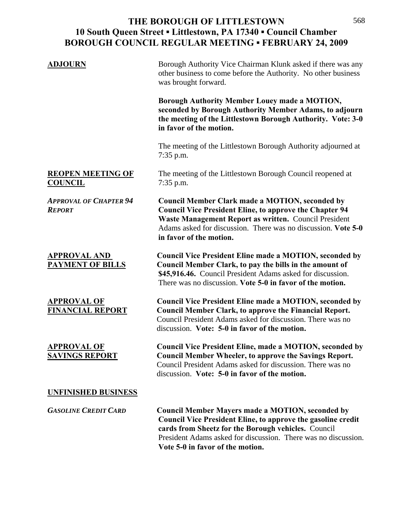| <b>ADJOURN</b>                                 | Borough Authority Vice Chairman Klunk asked if there was any<br>other business to come before the Authority. No other business<br>was brought forward.                                                                                                                                      |
|------------------------------------------------|---------------------------------------------------------------------------------------------------------------------------------------------------------------------------------------------------------------------------------------------------------------------------------------------|
|                                                | Borough Authority Member Louey made a MOTION,<br>seconded by Borough Authority Member Adams, to adjourn<br>the meeting of the Littlestown Borough Authority. Vote: 3-0<br>in favor of the motion.                                                                                           |
|                                                | The meeting of the Littlestown Borough Authority adjourned at<br>$7:35$ p.m.                                                                                                                                                                                                                |
| <b>REOPEN MEETING OF</b><br><b>COUNCIL</b>     | The meeting of the Littlestown Borough Council reopened at<br>$7:35$ p.m.                                                                                                                                                                                                                   |
| <b>APPROVAL OF CHAPTER 94</b><br><b>REPORT</b> | <b>Council Member Clark made a MOTION, seconded by</b><br><b>Council Vice President Eline, to approve the Chapter 94</b><br>Waste Management Report as written. Council President<br>Adams asked for discussion. There was no discussion. Vote 5-0<br>in favor of the motion.               |
| <b>APPROVAL AND</b><br><b>PAYMENT OF BILLS</b> | <b>Council Vice President Eline made a MOTION, seconded by</b><br>Council Member Clark, to pay the bills in the amount of<br>\$45,916.46. Council President Adams asked for discussion.<br>There was no discussion. Vote 5-0 in favor of the motion.                                        |
| <b>APPROVAL OF</b><br><b>FINANCIAL REPORT</b>  | <b>Council Vice President Eline made a MOTION, seconded by</b><br><b>Council Member Clark, to approve the Financial Report.</b><br>Council President Adams asked for discussion. There was no<br>discussion. Vote: 5-0 in favor of the motion.                                              |
| <u>APPROVAL OF</u><br><b>SAVINGS REPORT</b>    | <b>Council Vice President Eline, made a MOTION, seconded by</b><br><b>Council Member Wheeler, to approve the Savings Report.</b><br>Council President Adams asked for discussion. There was no<br>discussion. Vote: 5-0 in favor of the motion.                                             |
| <b>UNFINISHED BUSINESS</b>                     |                                                                                                                                                                                                                                                                                             |
| <b>GASOLINE CREDIT CARD</b>                    | <b>Council Member Mayers made a MOTION, seconded by</b><br><b>Council Vice President Eline, to approve the gasoline credit</b><br>cards from Sheetz for the Borough vehicles. Council<br>President Adams asked for discussion. There was no discussion.<br>Vote 5-0 in favor of the motion. |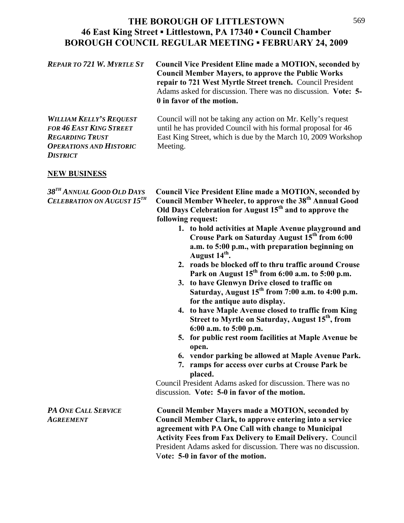#### **THE BOROUGH OF LITTLESTOWN 46 East King Street ▪ Littlestown, PA 17340 ▪ Council Chamber BOROUGH COUNCIL REGULAR MEETING ▪ FEBRUARY 24, 2009**  $\frac{1}{2}$

| <b>REPAIR TO 721 W. MYRTLE ST</b>                                                                                                               | <b>Council Vice President Eline made a MOTION, seconded by</b><br><b>Council Member Mayers, to approve the Public Works</b><br>repair to 721 West Myrtle Street trench. Council President<br>Adams asked for discussion. There was no discussion. Vote: 5-<br>0 in favor of the motion.                                                                                                                                                                                                                                                                                                                                                                                                                                                                                                                                                                                                                                                                                                                                                                                                                                                                                    |
|-------------------------------------------------------------------------------------------------------------------------------------------------|----------------------------------------------------------------------------------------------------------------------------------------------------------------------------------------------------------------------------------------------------------------------------------------------------------------------------------------------------------------------------------------------------------------------------------------------------------------------------------------------------------------------------------------------------------------------------------------------------------------------------------------------------------------------------------------------------------------------------------------------------------------------------------------------------------------------------------------------------------------------------------------------------------------------------------------------------------------------------------------------------------------------------------------------------------------------------------------------------------------------------------------------------------------------------|
| <b>WILLIAM KELLY'S REQUEST</b><br><b>FOR 46 EAST KING STREET</b><br><b>REGARDING TRUST</b><br><b>OPERATIONS AND HISTORIC</b><br><b>DISTRICT</b> | Council will not be taking any action on Mr. Kelly's request<br>until he has provided Council with his formal proposal for 46<br>East King Street, which is due by the March 10, 2009 Workshop<br>Meeting.                                                                                                                                                                                                                                                                                                                                                                                                                                                                                                                                                                                                                                                                                                                                                                                                                                                                                                                                                                 |
| <b>NEW BUSINESS</b>                                                                                                                             |                                                                                                                                                                                                                                                                                                                                                                                                                                                                                                                                                                                                                                                                                                                                                                                                                                                                                                                                                                                                                                                                                                                                                                            |
| 38 <sup>TH</sup> ANNUAL GOOD OLD DAYS<br><b>CELEBRATION ON AUGUST 15TH</b>                                                                      | <b>Council Vice President Eline made a MOTION, seconded by</b><br>Council Member Wheeler, to approve the 38 <sup>th</sup> Annual Good<br>Old Days Celebration for August 15 <sup>th</sup> and to approve the<br>following request:<br>1. to hold activities at Maple Avenue playground and<br>Crouse Park on Saturday August 15 <sup>th</sup> from 6:00<br>a.m. to 5:00 p.m., with preparation beginning on<br>August 14 <sup>th</sup> .<br>2. roads be blocked off to thru traffic around Crouse<br>Park on August 15 <sup>th</sup> from 6:00 a.m. to 5:00 p.m.<br>3. to have Glenwyn Drive closed to traffic on<br>Saturday, August 15 <sup>th</sup> from 7:00 a.m. to 4:00 p.m.<br>for the antique auto display.<br>4. to have Maple Avenue closed to traffic from King<br>Street to Myrtle on Saturday, August 15 <sup>th</sup> , from<br>6:00 a.m. to 5:00 p.m.<br>5. for public rest room facilities at Maple Avenue be<br>open.<br>6. vendor parking be allowed at Maple Avenue Park.<br>7. ramps for access over curbs at Crouse Park be<br>placed.<br>Council President Adams asked for discussion. There was no<br>discussion. Vote: 5-0 in favor of the motion. |
| PA ONE CALL SERVICE<br><b>AGREEMENT</b>                                                                                                         | <b>Council Member Mayers made a MOTION, seconded by</b><br>Council Member Clark, to approve entering into a service<br>agreement with PA One Call with change to Municipal<br><b>Activity Fees from Fax Delivery to Email Delivery.</b> Council<br>President Adams asked for discussion. There was no discussion.<br>Vote: 5-0 in favor of the motion.                                                                                                                                                                                                                                                                                                                                                                                                                                                                                                                                                                                                                                                                                                                                                                                                                     |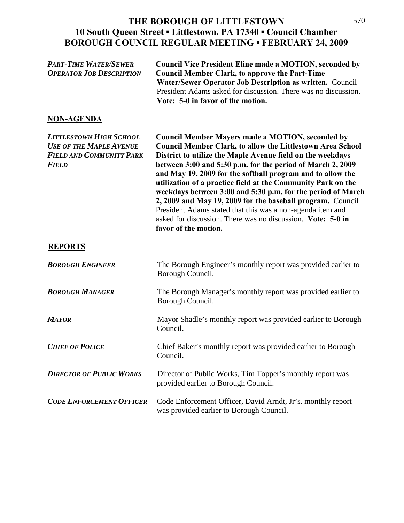| <b>PART-TIME WATER/SEWER</b><br><b>OPERATOR JOB DESCRIPTION</b>                                                     | <b>Council Vice President Eline made a MOTION, seconded by</b><br><b>Council Member Clark, to approve the Part-Time</b><br>Water/Sewer Operator Job Description as written. Council<br>President Adams asked for discussion. There was no discussion.<br>Vote: 5-0 in favor of the motion.                                                                                                                                                                                                                                                                                                                                                                               |
|---------------------------------------------------------------------------------------------------------------------|--------------------------------------------------------------------------------------------------------------------------------------------------------------------------------------------------------------------------------------------------------------------------------------------------------------------------------------------------------------------------------------------------------------------------------------------------------------------------------------------------------------------------------------------------------------------------------------------------------------------------------------------------------------------------|
| <b>NON-AGENDA</b>                                                                                                   |                                                                                                                                                                                                                                                                                                                                                                                                                                                                                                                                                                                                                                                                          |
| <b>LITTLESTOWN HIGH SCHOOL</b><br><b>USE OF THE MAPLE AVENUE</b><br><b>FIELD AND COMMUNITY PARK</b><br><b>FIELD</b> | <b>Council Member Mayers made a MOTION, seconded by</b><br><b>Council Member Clark, to allow the Littlestown Area School</b><br>District to utilize the Maple Avenue field on the weekdays<br>between 3:00 and 5:30 p.m. for the period of March 2, 2009<br>and May 19, 2009 for the softball program and to allow the<br>utilization of a practice field at the Community Park on the<br>weekdays between 3:00 and 5:30 p.m. for the period of March<br>2, 2009 and May 19, 2009 for the baseball program. Council<br>President Adams stated that this was a non-agenda item and<br>asked for discussion. There was no discussion. Vote: 5-0 in<br>favor of the motion. |
| <b>REPORTS</b>                                                                                                      |                                                                                                                                                                                                                                                                                                                                                                                                                                                                                                                                                                                                                                                                          |
| <b>BOROUGH ENGINEER</b>                                                                                             | The Borough Engineer's monthly report was provided earlier to<br>Borough Council.                                                                                                                                                                                                                                                                                                                                                                                                                                                                                                                                                                                        |
| <b>BOROUGH MANAGER</b>                                                                                              | The Borough Manager's monthly report was provided earlier to<br>Borough Council.                                                                                                                                                                                                                                                                                                                                                                                                                                                                                                                                                                                         |
| <b>MAYOR</b>                                                                                                        | Mayor Shadle's monthly report was provided earlier to Borough<br>Council.                                                                                                                                                                                                                                                                                                                                                                                                                                                                                                                                                                                                |
| <b>CHIEF OF POLICE</b>                                                                                              | Chief Baker's monthly report was provided earlier to Borough<br>Council.                                                                                                                                                                                                                                                                                                                                                                                                                                                                                                                                                                                                 |
| <b>DIRECTOR OF PUBLIC WORKS</b>                                                                                     | Director of Public Works, Tim Topper's monthly report was<br>provided earlier to Borough Council.                                                                                                                                                                                                                                                                                                                                                                                                                                                                                                                                                                        |
| <b>CODE ENFORCEMENT OFFICER</b>                                                                                     | Code Enforcement Officer, David Arndt, Jr's. monthly report<br>was provided earlier to Borough Council.                                                                                                                                                                                                                                                                                                                                                                                                                                                                                                                                                                  |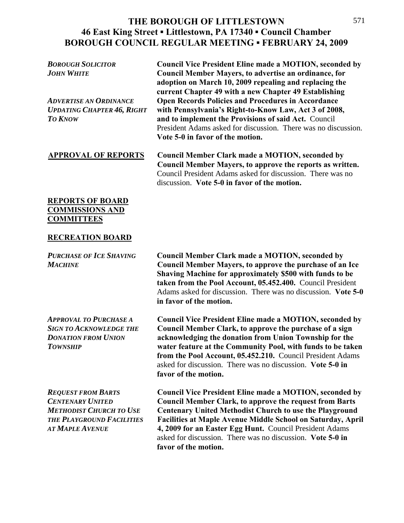*BOROUGH SOLICITOR* **Council Vice President Eline made a MOTION, seconded by** *JOHN WHITE* **Council Member Mayers, to advertise an ordinance, for adoption on March 10, 2009 repealing and replacing the current Chapter 49 with a new Chapter 49 Establishing**  *ADVERTISE AN ORDINANCE* **Open Records Policies and Procedures in Accordance**  *UPDATING CHAPTER 46, RIGHT* **with Pennsylvania's Right-to-Know Law, Act 3 of 2008,**  *TO KNOW* **and to implement the Provisions of said Act.** Council President Adams asked for discussion. There was no discussion. **Vote 5-0 in favor of the motion.** 

**APPROVAL OF REPORTS Council Member Clark made a MOTION, seconded by Council Member Mayers, to approve the reports as written.**  Council President Adams asked for discussion. There was no discussion. **Vote 5-0 in favor of the motion.** 

### **REPORTS OF BOARD COMMISSIONS AND COMMITTEES**

#### **RECREATION BOARD**

*PURCHASE OF ICE SHAVING* **Council Member Clark made a MOTION, seconded by**  *MACHINE* **Council Member Mayers, to approve the purchase of an Ice Shaving Machine for approximately \$500 with funds to be taken from the Pool Account, 05.452.400.** Council President Adams asked for discussion. There was no discussion. **Vote 5-0 in favor of the motion.** 

*APPROVAL TO PURCHASE A* **Council Vice President Eline made a MOTION, seconded by**  *SIGN TO ACKNOWLEDGE THE* **Council Member Clark, to approve the purchase of a sign**  *DONATION FROM UNION* **acknowledging the donation from Union Township for the**  *TOWNSHIP* **water feature at the Community Pool, with funds to be taken from the Pool Account, 05.452.210.** Council President Adams asked for discussion. There was no discussion. **Vote 5-0 in favor of the motion.** 

*REQUEST FROM BARTS* **Council Vice President Eline made a MOTION, seconded by**  *CENTENARY UNITED* **Council Member Clark, to approve the request from Barts**  *METHODIST CHURCH TO USE* **Centenary United Methodist Church to use the Playground**  *AT MAPLE AVENUE* **4, 2009 for an Easter Egg Hunt.** Council President Adams

*THE PLAYGROUND FACILITIES* **Facilities at Maple Avenue Middle School on Saturday, April**  asked for discussion. There was no discussion. **Vote 5-0 in favor of the motion.**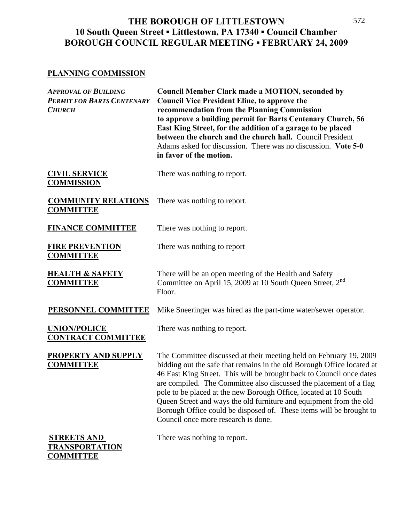### **PLANNING COMMISSION**

| <b>APPROVAL OF BUILDING</b><br>PERMIT FOR BARTS CENTENARY<br><b>CHURCH</b> | <b>Council Member Clark made a MOTION, seconded by</b><br><b>Council Vice President Eline, to approve the</b><br>recommendation from the Planning Commission<br>to approve a building permit for Barts Centenary Church, 56<br>East King Street, for the addition of a garage to be placed<br>between the church and the church hall. Council President<br>Adams asked for discussion. There was no discussion. Vote 5-0<br>in favor of the motion.                                                                                                |
|----------------------------------------------------------------------------|----------------------------------------------------------------------------------------------------------------------------------------------------------------------------------------------------------------------------------------------------------------------------------------------------------------------------------------------------------------------------------------------------------------------------------------------------------------------------------------------------------------------------------------------------|
| <b>CIVIL SERVICE</b><br><b>COMMISSION</b>                                  | There was nothing to report.                                                                                                                                                                                                                                                                                                                                                                                                                                                                                                                       |
| <b>COMMUNITY RELATIONS</b><br><b>COMMITTEE</b>                             | There was nothing to report.                                                                                                                                                                                                                                                                                                                                                                                                                                                                                                                       |
| <b>FINANCE COMMITTEE</b>                                                   | There was nothing to report.                                                                                                                                                                                                                                                                                                                                                                                                                                                                                                                       |
| <b>FIRE PREVENTION</b><br><b>COMMITTEE</b>                                 | There was nothing to report                                                                                                                                                                                                                                                                                                                                                                                                                                                                                                                        |
| <b>HEALTH &amp; SAFETY</b><br><b>COMMITTEE</b>                             | There will be an open meeting of the Health and Safety<br>Committee on April 15, 2009 at 10 South Queen Street, 2 <sup>nd</sup><br>Floor.                                                                                                                                                                                                                                                                                                                                                                                                          |
| <b>PERSONNEL COMMITTEE</b>                                                 | Mike Sneeringer was hired as the part-time water/sewer operator.                                                                                                                                                                                                                                                                                                                                                                                                                                                                                   |
| <b>UNION/POLICE</b><br><b>CONTRACT COMMITTEE</b>                           | There was nothing to report.                                                                                                                                                                                                                                                                                                                                                                                                                                                                                                                       |
| <b>PROPERTY AND SUPPLY</b><br><b>COMMITTEE</b>                             | The Committee discussed at their meeting held on February 19, 2009<br>bidding out the safe that remains in the old Borough Office located at<br>46 East King Street. This will be brought back to Council once dates<br>are compiled. The Committee also discussed the placement of a flag<br>pole to be placed at the new Borough Office, located at 10 South<br>Queen Street and ways the old furniture and equipment from the old<br>Borough Office could be disposed of. These items will be brought to<br>Council once more research is done. |
| <b>STREETS AND</b><br><u>TRANSPORTATION</u><br><b>COMMITTEE</b>            | There was nothing to report.                                                                                                                                                                                                                                                                                                                                                                                                                                                                                                                       |